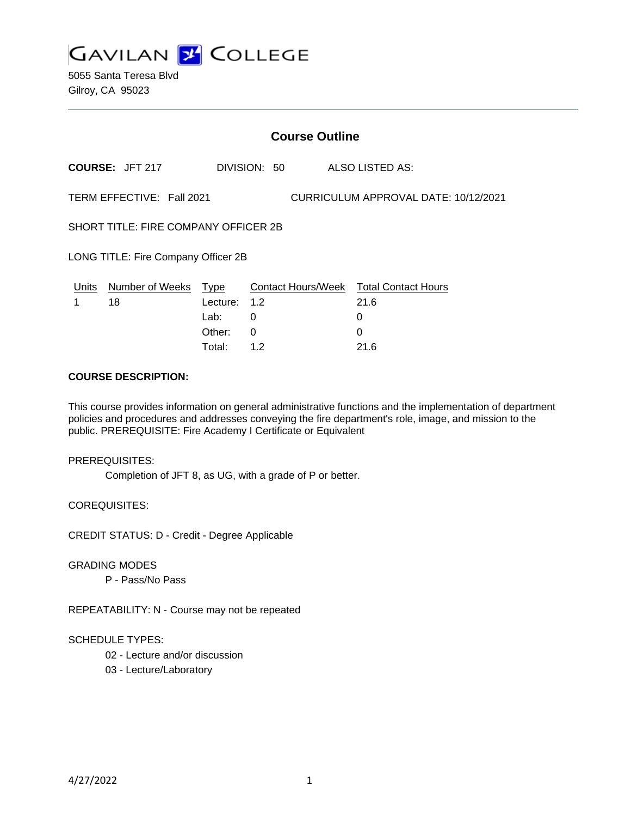

5055 Santa Teresa Blvd Gilroy, CA 95023

|                                                                   |                        |          | <b>Course Outline</b> |                                        |  |
|-------------------------------------------------------------------|------------------------|----------|-----------------------|----------------------------------------|--|
|                                                                   | <b>COURSE: JFT 217</b> |          | DIVISION: 50          | ALSO LISTED AS:                        |  |
| TERM EFFECTIVE: Fall 2021<br>CURRICULUM APPROVAL DATE: 10/12/2021 |                        |          |                       |                                        |  |
| SHORT TITLE: FIRE COMPANY OFFICER 2B                              |                        |          |                       |                                        |  |
| LONG TITLE: Fire Company Officer 2B                               |                        |          |                       |                                        |  |
| Units                                                             | Number of Weeks        | Type     |                       | Contact Hours/Week Total Contact Hours |  |
| 1                                                                 | 18                     | Lecture: | 1.2                   | 21.6                                   |  |
|                                                                   |                        | Lab:     | 0                     | 0                                      |  |
|                                                                   |                        | Other:   | 0                     | $\Omega$                               |  |
|                                                                   |                        | Total:   | 1.2                   | 21.6                                   |  |

### **COURSE DESCRIPTION:**

This course provides information on general administrative functions and the implementation of department policies and procedures and addresses conveying the fire department's role, image, and mission to the public. PREREQUISITE: Fire Academy I Certificate or Equivalent

### PREREQUISITES:

Completion of JFT 8, as UG, with a grade of P or better.

COREQUISITES:

CREDIT STATUS: D - Credit - Degree Applicable

## GRADING MODES

P - Pass/No Pass

REPEATABILITY: N - Course may not be repeated

### SCHEDULE TYPES:

- 02 Lecture and/or discussion
- 03 Lecture/Laboratory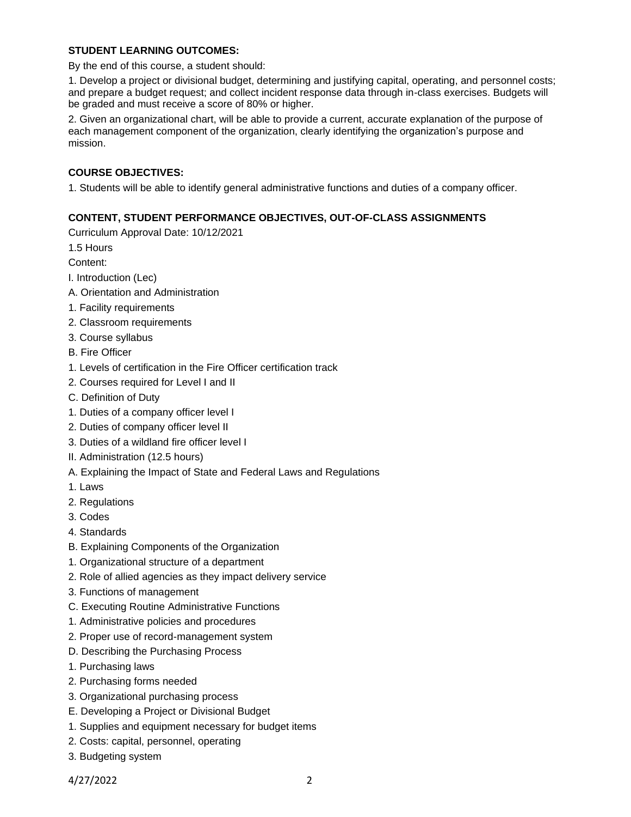# **STUDENT LEARNING OUTCOMES:**

By the end of this course, a student should:

1. Develop a project or divisional budget, determining and justifying capital, operating, and personnel costs; and prepare a budget request; and collect incident response data through in-class exercises. Budgets will be graded and must receive a score of 80% or higher.

2. Given an organizational chart, will be able to provide a current, accurate explanation of the purpose of each management component of the organization, clearly identifying the organization's purpose and mission.

# **COURSE OBJECTIVES:**

1. Students will be able to identify general administrative functions and duties of a company officer.

# **CONTENT, STUDENT PERFORMANCE OBJECTIVES, OUT-OF-CLASS ASSIGNMENTS**

Curriculum Approval Date: 10/12/2021

1.5 Hours

Content:

- I. Introduction (Lec)
- A. Orientation and Administration
- 1. Facility requirements
- 2. Classroom requirements
- 3. Course syllabus
- B. Fire Officer
- 1. Levels of certification in the Fire Officer certification track
- 2. Courses required for Level I and II
- C. Definition of Duty
- 1. Duties of a company officer level I
- 2. Duties of company officer level II
- 3. Duties of a wildland fire officer level I
- II. Administration (12.5 hours)
- A. Explaining the Impact of State and Federal Laws and Regulations
- 1. Laws
- 2. Regulations
- 3. Codes
- 4. Standards
- B. Explaining Components of the Organization
- 1. Organizational structure of a department
- 2. Role of allied agencies as they impact delivery service
- 3. Functions of management
- C. Executing Routine Administrative Functions
- 1. Administrative policies and procedures
- 2. Proper use of record-management system
- D. Describing the Purchasing Process
- 1. Purchasing laws
- 2. Purchasing forms needed
- 3. Organizational purchasing process
- E. Developing a Project or Divisional Budget
- 1. Supplies and equipment necessary for budget items
- 2. Costs: capital, personnel, operating
- 3. Budgeting system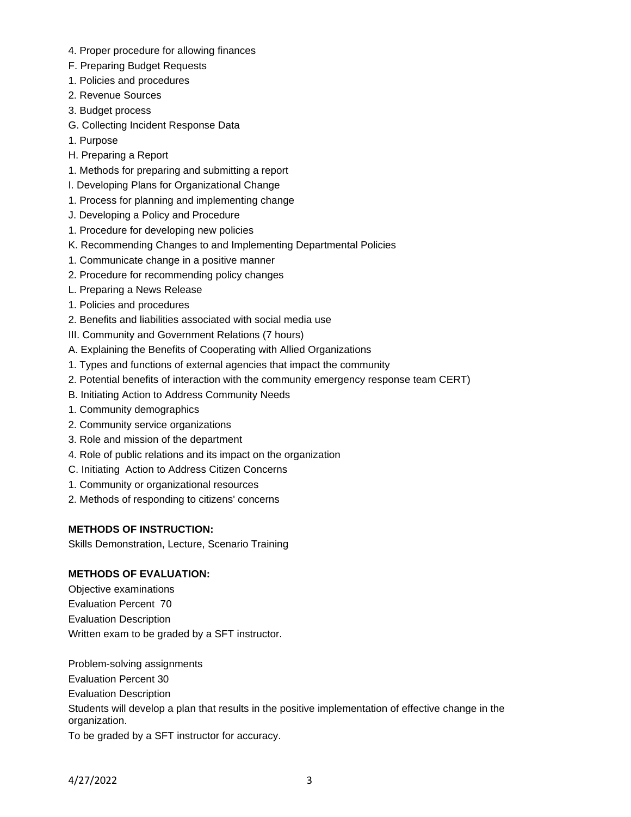- 4. Proper procedure for allowing finances
- F. Preparing Budget Requests
- 1. Policies and procedures
- 2. Revenue Sources
- 3. Budget process
- G. Collecting Incident Response Data
- 1. Purpose
- H. Preparing a Report
- 1. Methods for preparing and submitting a report
- I. Developing Plans for Organizational Change
- 1. Process for planning and implementing change
- J. Developing a Policy and Procedure
- 1. Procedure for developing new policies
- K. Recommending Changes to and Implementing Departmental Policies
- 1. Communicate change in a positive manner
- 2. Procedure for recommending policy changes
- L. Preparing a News Release
- 1. Policies and procedures
- 2. Benefits and liabilities associated with social media use
- III. Community and Government Relations (7 hours)
- A. Explaining the Benefits of Cooperating with Allied Organizations
- 1. Types and functions of external agencies that impact the community
- 2. Potential benefits of interaction with the community emergency response team CERT)
- B. Initiating Action to Address Community Needs
- 1. Community demographics
- 2. Community service organizations
- 3. Role and mission of the department
- 4. Role of public relations and its impact on the organization
- C. Initiating Action to Address Citizen Concerns
- 1. Community or organizational resources
- 2. Methods of responding to citizens' concerns

# **METHODS OF INSTRUCTION:**

Skills Demonstration, Lecture, Scenario Training

# **METHODS OF EVALUATION:**

Objective examinations Evaluation Percent 70 Evaluation Description Written exam to be graded by a SFT instructor.

Problem-solving assignments Evaluation Percent 30 Evaluation Description Students will develop a plan that results in the positive implementation of effective change in the organization. To be graded by a SFT instructor for accuracy.